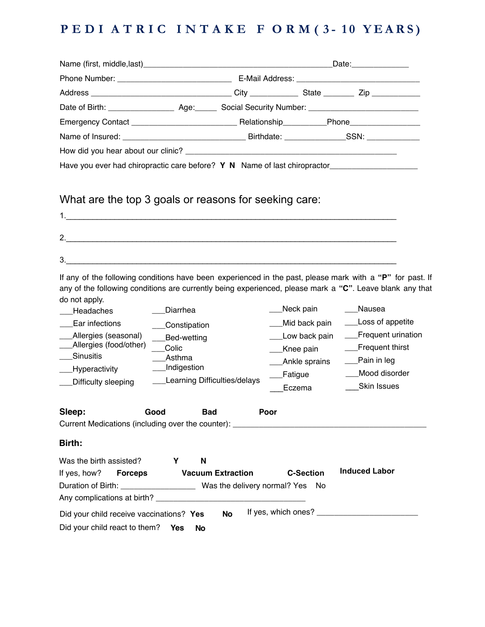## **PEDI A T RIC INTAKE F O R M ( 3 - 1 0 YEAR S )**

| Name of Insured: etc. All and the Contract of Insured: Contract of Insured: Contract of Insured: Contract of Birthdate: Contract of Insurance Contract of Insurance Contract of Birthdate: Contract of Insurance Contract of I                                                                                    |                                                                                                        |         |                                                       |                                                                                                   |
|-------------------------------------------------------------------------------------------------------------------------------------------------------------------------------------------------------------------------------------------------------------------------------------------------------------------|--------------------------------------------------------------------------------------------------------|---------|-------------------------------------------------------|---------------------------------------------------------------------------------------------------|
|                                                                                                                                                                                                                                                                                                                   |                                                                                                        |         |                                                       |                                                                                                   |
| Have you ever had chiropractic care before? Y N Name of last chiropractor___________________________                                                                                                                                                                                                              |                                                                                                        |         |                                                       |                                                                                                   |
| What are the top 3 goals or reasons for seeking care:<br>2.<br>$\overline{\mathbf{3}}$ .<br>If any of the following conditions have been experienced in the past, please mark with a "P" for past. If<br>any of the following conditions are currently being experienced, please mark a "C". Leave blank any that |                                                                                                        |         |                                                       |                                                                                                   |
| do not apply.                                                                                                                                                                                                                                                                                                     |                                                                                                        |         |                                                       | Nausea                                                                                            |
| Headaches<br>Ear infections                                                                                                                                                                                                                                                                                       | Diarrhea                                                                                               |         | Neck pain<br>Mid back pain                            | ____Loss of appetite                                                                              |
| Allergies (seasonal)<br>Allergies (food/other)<br>Sinusitis<br>Hyperactivity<br>Difficulty sleeping                                                                                                                                                                                                               | Constipation<br>Bed-wetting<br>Colic<br>Asthma<br><b>Indigestion</b><br>__Learning Difficulties/delays | Fatigue | Low back pain<br>Knee pain<br>Ankle sprains<br>Eczema | __Frequent urination<br>__Frequent thirst<br>__Pain in leg<br>Mood disorder<br><b>Skin Issues</b> |
| Sleep:<br>Good                                                                                                                                                                                                                                                                                                    | <b>Bad</b>                                                                                             | Poor    |                                                       |                                                                                                   |
| Birth:                                                                                                                                                                                                                                                                                                            |                                                                                                        |         |                                                       |                                                                                                   |
| Was the birth assisted?<br>If yes, how?<br><b>Forceps</b>                                                                                                                                                                                                                                                         | N<br>Y<br><b>Vacuum Extraction</b>                                                                     |         | <b>C-Section</b>                                      | <b>Induced Labor</b>                                                                              |
| Did your child receive vaccinations? Yes<br>Did your child react to them?                                                                                                                                                                                                                                         | <b>No</b><br><b>Yes</b><br><b>No</b>                                                                   |         |                                                       |                                                                                                   |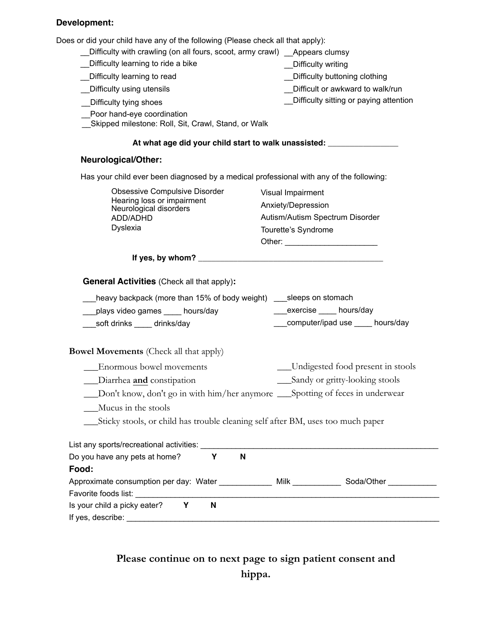### **Development:**

Does or did your child have any of the following (Please check all that apply):

| es or did your child have any of the following (Please check all that apply):                                                                                                                                                                   |                                                                                                                       |
|-------------------------------------------------------------------------------------------------------------------------------------------------------------------------------------------------------------------------------------------------|-----------------------------------------------------------------------------------------------------------------------|
| Difficulty with crawling (on all fours, scoot, army crawl) __ Appears clumsy<br>Difficulty learning to ride a bike                                                                                                                              |                                                                                                                       |
|                                                                                                                                                                                                                                                 | Difficulty writing                                                                                                    |
| Difficulty learning to read                                                                                                                                                                                                                     | Difficulty buttoning clothing                                                                                         |
| Difficulty using utensils                                                                                                                                                                                                                       | Difficult or awkward to walk/run<br>Difficulty sitting or paying attention                                            |
| Difficulty tying shoes<br>Poor hand-eye coordination<br>Skipped milestone: Roll, Sit, Crawl, Stand, or Walk                                                                                                                                     |                                                                                                                       |
|                                                                                                                                                                                                                                                 | At what age did your child start to walk unassisted: ___________________________                                      |
| <b>Neurological/Other:</b>                                                                                                                                                                                                                      |                                                                                                                       |
| Has your child ever been diagnosed by a medical professional with any of the following:                                                                                                                                                         |                                                                                                                       |
| <b>Obsessive Compulsive Disorder</b>                                                                                                                                                                                                            | Visual Impairment                                                                                                     |
| Hearing loss or impairment<br>Neurological disorders                                                                                                                                                                                            | Anxiety/Depression                                                                                                    |
| ADD/ADHD                                                                                                                                                                                                                                        | Autism/Autism Spectrum Disorder                                                                                       |
| Dyslexia                                                                                                                                                                                                                                        | Tourette's Syndrome                                                                                                   |
|                                                                                                                                                                                                                                                 | Other: ___________________________                                                                                    |
|                                                                                                                                                                                                                                                 |                                                                                                                       |
| <b>General Activities (Check all that apply):</b><br>heavy backpack (more than 15% of body weight) ___ sleeps on stomach<br>plays video games ____ hours/day<br>soft drinks _____ drinks/day                                                    | exercise hours/day<br>computer/ipad use ____ hours/day                                                                |
| <b>Bowel Movements</b> (Check all that apply)                                                                                                                                                                                                   |                                                                                                                       |
| Enormous bowel movements                                                                                                                                                                                                                        | Undigested food present in stools                                                                                     |
|                                                                                                                                                                                                                                                 |                                                                                                                       |
| Diarrhea and constipation                                                                                                                                                                                                                       | Sandy or gritty-looking stools                                                                                        |
| Don't know, don't go in with him/her anymore ___Spotting of feces in underwear                                                                                                                                                                  |                                                                                                                       |
|                                                                                                                                                                                                                                                 |                                                                                                                       |
| Mucus in the stools<br>Sticky stools, or child has trouble cleaning self after BM, uses too much paper                                                                                                                                          |                                                                                                                       |
|                                                                                                                                                                                                                                                 |                                                                                                                       |
|                                                                                                                                                                                                                                                 | <u> 1989 - Johann John Stone, markin film yn y brening yn y brening yn y brening yn y brening yn y brening yn y b</u> |
| Υ<br>N                                                                                                                                                                                                                                          |                                                                                                                       |
|                                                                                                                                                                                                                                                 |                                                                                                                       |
| List any sports/recreational activities:<br>Do you have any pets at home?<br>Food:<br>Approximate consumption per day: Water ____________ Milk __________ Soda/Other ________<br>Favorite foods list:<br>Is your child a picky eater?<br>Y<br>N |                                                                                                                       |

**Please continue on to next page to sign patient consent and hippa.**